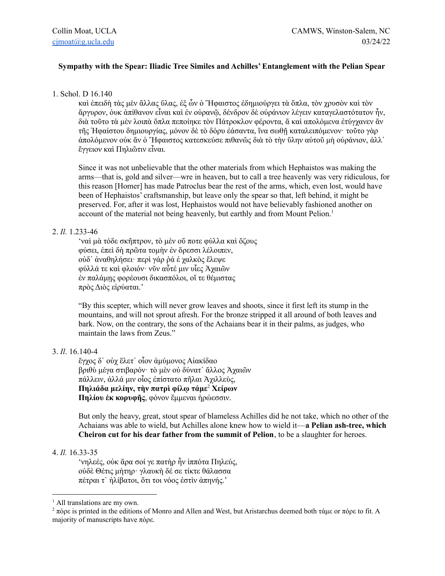## **Sympathy with the Spear: Iliadic Tree Similes and Achilles' Entanglement with the Pelian Spear**

## 1. Schol. D 16.140

καὶ ἐπειδὴ τὰς μὲν ἄλλας ὕλας, ἐξ ὧν ὁ Ἥφαιστος ἐδημιούργει τὰ ὅπλα, τὸν χρυσὸν καὶ τὸν ἄργυρον, ὀυκ ἀπίθανον εἶναι καὶ ἐν οὐρανῷ, δένδρον δὲ οὐράνιον λέγειν καταγελαστότατον ἦν, διὰ τοῦτο τὰ μὲν λοιπὰ ὅπλα πεποίηκε τὸν Πάτροκλον φέροντα, ἄ καὶ απολόμενα ἐτύγχανεν ἄν τῆς Ἡφαίστου δημιουργίας, μόνον δὲ τὸ δόρυ ἐάσαντα, ἵνα σωθῇ καταλειπόμενον· τοῦτο γὰρ ἀπολόμενον οὐκ ἄν ὁ Ἥφαιστος κατεσκεύσε πιθανῶς διὰ τὸ τὴν ὕλην αὐτοῦ μὴ οὐράνιον, ἀλλ᾽ ἔγγειον καὶ Πηλιῶτιν εἶναι.

Since it was not unbelievable that the other materials from which Hephaistos was making the arms—that is, gold and silver—wre in heaven, but to call a tree heavenly was very ridiculous, for this reason [Homer] has made Patroclus bear the rest of the arms, which, even lost, would have been of Hephaistos' craftsmanship, but leave only the spear so that, left behind, it might be preserved. For, after it was lost, Hephaistos would not have believably fashioned another on account of the material not being heavenly, but earthly and from Mount Pelion. 1

# 2. *Il.* 1.233-46

'ναὶ μὰ τόδε σκῆπτρον, τὸ μὲν οὔ ποτε φύλλα καὶ ὄζους φύσει, ἐπεὶ δὴ πρῶτα τομὴν ἐν ὄρεσσι λέλοιπεν, οὐδ᾽ ἀναθηλήσει· περὶ γάρ ῥά ἑ χαλκὸς ἔλεψε φύλλά τε καὶ φλοιόν· νῦν αὖτέ μιν υἷες Ἀχαιῶν ἐν παλάμῃς φορέουσι δικασπόλοι, οἵ τε θέμιστας πρὸς Διὸς εἰρύαται.'

"By this scepter, which will never grow leaves and shoots, since it first left its stump in the mountains, and will not sprout afresh. For the bronze stripped it all around of both leaves and bark. Now, on the contrary, the sons of the Achaians bear it in their palms, as judges, who maintain the laws from Zeus."

## 3. *Il*. 16.140-4

ἔγχος δ᾽ οὐχ ἕλετ᾽ οἶον ἀμύμονος Αἰακίδαο βριθὺ μέγα στιβαρόν· τὸ μὲν οὐ δύνατ᾽ ἄλλος Ἀχαιῶν πάλλειν, ἀλλά μιν οἶος ἐπίστατο πῆλαι Ἀχιλλεὺς, **Πηλιάδα μελίην, τὴν πατρὶ φίλῳ τάμε** <sup>2</sup> **Χείρων Πηλίου ἐκ κορυφῆς**, φόνον ἔμμεναι ἡρώεσσιν.

But only the heavy, great, stout spear of blameless Achilles did he not take, which no other of the Achaians was able to wield, but Achilles alone knew how to wield it—**a Pelian ash-tree, which Cheiron cut for his dear father from the summit of Pelion**, to be a slaughter for heroes.

#### 4. *Il.* 16.33-35

'νηλεές, οὐκ ἄρα σοί γε πατὴρ ἦν ἱππότα Πηλεύς, οὐδὲ Θέτις μήτηρ· γλαυκὴ δέ σε τίκτε θάλασσα πέτραι τ᾽ ἠλίβατοι, ὅτι τοι νόος ἐστὶν ἀπηνής.'

<sup>&</sup>lt;sup>1</sup> All translations are my own.

<sup>&</sup>lt;sup>2</sup> πόρε is printed in the editions of Monro and Allen and West, but Aristarchus deemed both τάμε or πόρε to fit. A majority of manuscripts have πόρε.